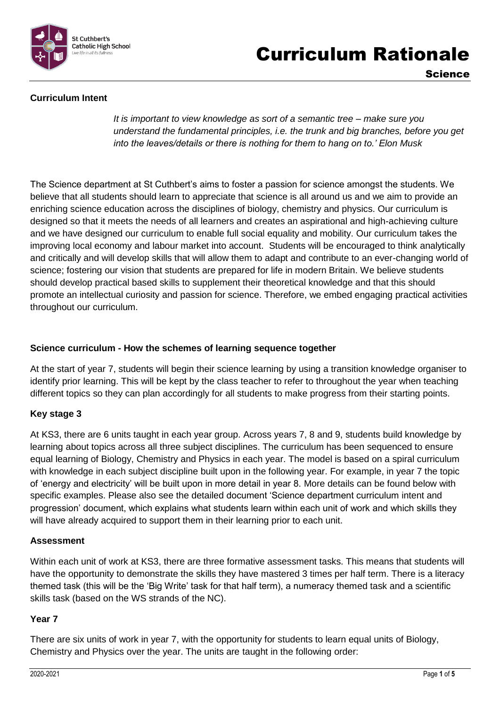

# Curriculum Rationale

Science

## **Curriculum Intent**

*It is important to view knowledge as sort of a semantic tree – make sure you understand the fundamental principles, i.e. the trunk and big branches, before you get into the leaves/details or there is nothing for them to hang on to.' Elon Musk*

The Science department at St Cuthbert's aims to foster a passion for science amongst the students. We believe that all students should learn to appreciate that science is all around us and we aim to provide an enriching science education across the disciplines of biology, chemistry and physics. Our curriculum is designed so that it meets the needs of all learners and creates an aspirational and high-achieving culture and we have designed our curriculum to enable full social equality and mobility. Our curriculum takes the improving local economy and labour market into account. Students will be encouraged to think analytically and critically and will develop skills that will allow them to adapt and contribute to an ever-changing world of science; fostering our vision that students are prepared for life in modern Britain. We believe students should develop practical based skills to supplement their theoretical knowledge and that this should promote an intellectual curiosity and passion for science. Therefore, we embed engaging practical activities throughout our curriculum.

### **Science curriculum - How the schemes of learning sequence together**

At the start of year 7, students will begin their science learning by using a transition knowledge organiser to identify prior learning. This will be kept by the class teacher to refer to throughout the year when teaching different topics so they can plan accordingly for all students to make progress from their starting points.

### **Key stage 3**

At KS3, there are 6 units taught in each year group. Across years 7, 8 and 9, students build knowledge by learning about topics across all three subject disciplines. The curriculum has been sequenced to ensure equal learning of Biology, Chemistry and Physics in each year. The model is based on a spiral curriculum with knowledge in each subject discipline built upon in the following year. For example, in year 7 the topic of 'energy and electricity' will be built upon in more detail in year 8. More details can be found below with specific examples. Please also see the detailed document 'Science department curriculum intent and progression' document, which explains what students learn within each unit of work and which skills they will have already acquired to support them in their learning prior to each unit.

### **Assessment**

Within each unit of work at KS3, there are three formative assessment tasks. This means that students will have the opportunity to demonstrate the skills they have mastered 3 times per half term. There is a literacy themed task (this will be the 'Big Write' task for that half term), a numeracy themed task and a scientific skills task (based on the WS strands of the NC).

### **Year 7**

There are six units of work in year 7, with the opportunity for students to learn equal units of Biology, Chemistry and Physics over the year. The units are taught in the following order: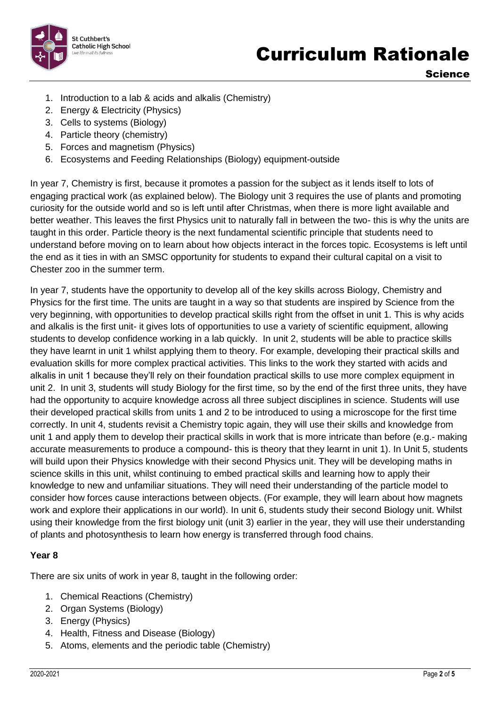

Science

- 1. Introduction to a lab & acids and alkalis (Chemistry)
- 2. Energy & Electricity (Physics)
- 3. Cells to systems (Biology)
- 4. Particle theory (chemistry)
- 5. Forces and magnetism (Physics)
- 6. Ecosystems and Feeding Relationships (Biology) equipment-outside

In year 7, Chemistry is first, because it promotes a passion for the subject as it lends itself to lots of engaging practical work (as explained below). The Biology unit 3 requires the use of plants and promoting curiosity for the outside world and so is left until after Christmas, when there is more light available and better weather. This leaves the first Physics unit to naturally fall in between the two- this is why the units are taught in this order. Particle theory is the next fundamental scientific principle that students need to understand before moving on to learn about how objects interact in the forces topic. Ecosystems is left until the end as it ties in with an SMSC opportunity for students to expand their cultural capital on a visit to Chester zoo in the summer term.

In year 7, students have the opportunity to develop all of the key skills across Biology, Chemistry and Physics for the first time. The units are taught in a way so that students are inspired by Science from the very beginning, with opportunities to develop practical skills right from the offset in unit 1. This is why acids and alkalis is the first unit- it gives lots of opportunities to use a variety of scientific equipment, allowing students to develop confidence working in a lab quickly. In unit 2, students will be able to practice skills they have learnt in unit 1 whilst applying them to theory. For example, developing their practical skills and evaluation skills for more complex practical activities. This links to the work they started with acids and alkalis in unit 1 because they'll rely on their foundation practical skills to use more complex equipment in unit 2. In unit 3, students will study Biology for the first time, so by the end of the first three units, they have had the opportunity to acquire knowledge across all three subject disciplines in science. Students will use their developed practical skills from units 1 and 2 to be introduced to using a microscope for the first time correctly. In unit 4, students revisit a Chemistry topic again, they will use their skills and knowledge from unit 1 and apply them to develop their practical skills in work that is more intricate than before (e.g.- making accurate measurements to produce a compound- this is theory that they learnt in unit 1). In Unit 5, students will build upon their Physics knowledge with their second Physics unit. They will be developing maths in science skills in this unit, whilst continuing to embed practical skills and learning how to apply their knowledge to new and unfamiliar situations. They will need their understanding of the particle model to consider how forces cause interactions between objects. (For example, they will learn about how magnets work and explore their applications in our world). In unit 6, students study their second Biology unit. Whilst using their knowledge from the first biology unit (unit 3) earlier in the year, they will use their understanding of plants and photosynthesis to learn how energy is transferred through food chains.

## **Year 8**

There are six units of work in year 8, taught in the following order:

- 1. Chemical Reactions (Chemistry)
- 2. Organ Systems (Biology)
- 3. Energy (Physics)
- 4. Health, Fitness and Disease (Biology)
- 5. Atoms, elements and the periodic table (Chemistry)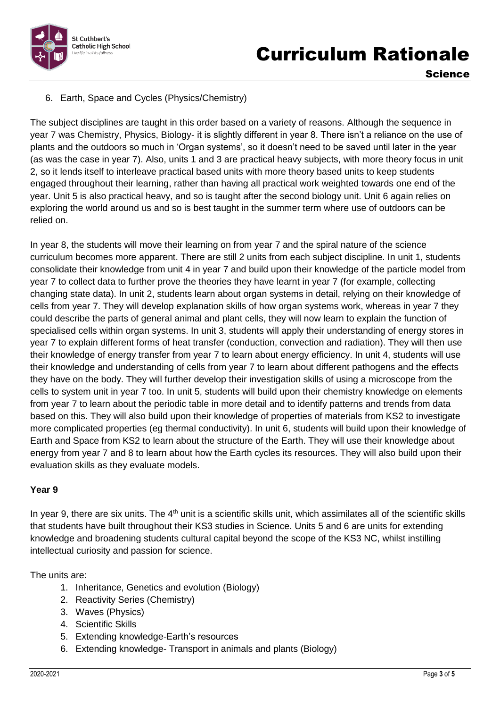

Science

## 6. Earth, Space and Cycles (Physics/Chemistry)

The subject disciplines are taught in this order based on a variety of reasons. Although the sequence in year 7 was Chemistry, Physics, Biology- it is slightly different in year 8. There isn't a reliance on the use of plants and the outdoors so much in 'Organ systems', so it doesn't need to be saved until later in the year (as was the case in year 7). Also, units 1 and 3 are practical heavy subjects, with more theory focus in unit 2, so it lends itself to interleave practical based units with more theory based units to keep students engaged throughout their learning, rather than having all practical work weighted towards one end of the year. Unit 5 is also practical heavy, and so is taught after the second biology unit. Unit 6 again relies on exploring the world around us and so is best taught in the summer term where use of outdoors can be relied on.

In year 8, the students will move their learning on from year 7 and the spiral nature of the science curriculum becomes more apparent. There are still 2 units from each subject discipline. In unit 1, students consolidate their knowledge from unit 4 in year 7 and build upon their knowledge of the particle model from year 7 to collect data to further prove the theories they have learnt in year 7 (for example, collecting changing state data). In unit 2, students learn about organ systems in detail, relying on their knowledge of cells from year 7. They will develop explanation skills of how organ systems work, whereas in year 7 they could describe the parts of general animal and plant cells, they will now learn to explain the function of specialised cells within organ systems. In unit 3, students will apply their understanding of energy stores in year 7 to explain different forms of heat transfer (conduction, convection and radiation). They will then use their knowledge of energy transfer from year 7 to learn about energy efficiency. In unit 4, students will use their knowledge and understanding of cells from year 7 to learn about different pathogens and the effects they have on the body. They will further develop their investigation skills of using a microscope from the cells to system unit in year 7 too. In unit 5, students will build upon their chemistry knowledge on elements from year 7 to learn about the periodic table in more detail and to identify patterns and trends from data based on this. They will also build upon their knowledge of properties of materials from KS2 to investigate more complicated properties (eg thermal conductivity). In unit 6, students will build upon their knowledge of Earth and Space from KS2 to learn about the structure of the Earth. They will use their knowledge about energy from year 7 and 8 to learn about how the Earth cycles its resources. They will also build upon their evaluation skills as they evaluate models.

## **Year 9**

In year 9, there are six units. The  $4<sup>th</sup>$  unit is a scientific skills unit, which assimilates all of the scientific skills that students have built throughout their KS3 studies in Science. Units 5 and 6 are units for extending knowledge and broadening students cultural capital beyond the scope of the KS3 NC, whilst instilling intellectual curiosity and passion for science.

The units are:

- 1. Inheritance, Genetics and evolution (Biology)
- 2. Reactivity Series (Chemistry)
- 3. Waves (Physics)
- 4. Scientific Skills
- 5. Extending knowledge-Earth's resources
- 6. Extending knowledge- Transport in animals and plants (Biology)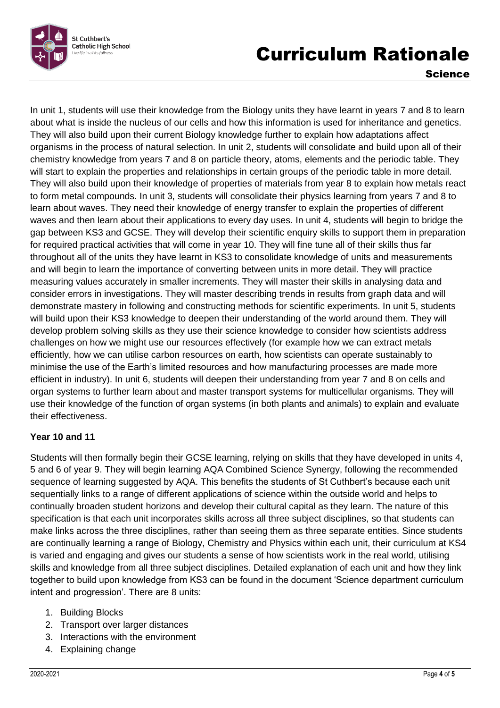

# Curriculum Rationale

Science

In unit 1, students will use their knowledge from the Biology units they have learnt in years 7 and 8 to learn about what is inside the nucleus of our cells and how this information is used for inheritance and genetics. They will also build upon their current Biology knowledge further to explain how adaptations affect organisms in the process of natural selection. In unit 2, students will consolidate and build upon all of their chemistry knowledge from years 7 and 8 on particle theory, atoms, elements and the periodic table. They will start to explain the properties and relationships in certain groups of the periodic table in more detail. They will also build upon their knowledge of properties of materials from year 8 to explain how metals react to form metal compounds. In unit 3, students will consolidate their physics learning from years 7 and 8 to learn about waves. They need their knowledge of energy transfer to explain the properties of different waves and then learn about their applications to every day uses. In unit 4, students will begin to bridge the gap between KS3 and GCSE. They will develop their scientific enquiry skills to support them in preparation for required practical activities that will come in year 10. They will fine tune all of their skills thus far throughout all of the units they have learnt in KS3 to consolidate knowledge of units and measurements and will begin to learn the importance of converting between units in more detail. They will practice measuring values accurately in smaller increments. They will master their skills in analysing data and consider errors in investigations. They will master describing trends in results from graph data and will demonstrate mastery in following and constructing methods for scientific experiments. In unit 5, students will build upon their KS3 knowledge to deepen their understanding of the world around them. They will develop problem solving skills as they use their science knowledge to consider how scientists address challenges on how we might use our resources effectively (for example how we can extract metals efficiently, how we can utilise carbon resources on earth, how scientists can operate sustainably to minimise the use of the Earth's limited resources and how manufacturing processes are made more efficient in industry). In unit 6, students will deepen their understanding from year 7 and 8 on cells and organ systems to further learn about and master transport systems for multicellular organisms. They will use their knowledge of the function of organ systems (in both plants and animals) to explain and evaluate their effectiveness.

## **Year 10 and 11**

Students will then formally begin their GCSE learning, relying on skills that they have developed in units 4, 5 and 6 of year 9. They will begin learning AQA Combined Science Synergy, following the recommended sequence of learning suggested by AQA. This benefits the students of St Cuthbert's because each unit sequentially links to a range of different applications of science within the outside world and helps to continually broaden student horizons and develop their cultural capital as they learn. The nature of this specification is that each unit incorporates skills across all three subject disciplines, so that students can make links across the three disciplines, rather than seeing them as three separate entities. Since students are continually learning a range of Biology, Chemistry and Physics within each unit, their curriculum at KS4 is varied and engaging and gives our students a sense of how scientists work in the real world, utilising skills and knowledge from all three subject disciplines. Detailed explanation of each unit and how they link together to build upon knowledge from KS3 can be found in the document 'Science department curriculum intent and progression'. There are 8 units:

- 1. Building Blocks
- 2. Transport over larger distances
- 3. Interactions with the environment
- 4. Explaining change